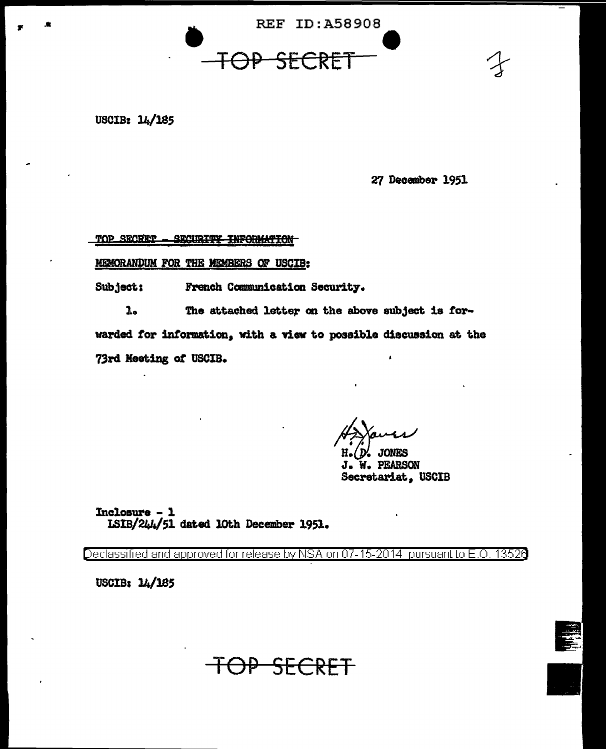

<del>SECRE</del>

#### USCIB: 14/185

27 December 1951

TOP SECRET SECURITY INFORMATION

MEMORANDUM FOR THE MEMBERS OF USCIB:

Subject: French Communication Security.

<del>LOP</del>

 $\mathbf{1}_{\bullet}$ The attached letter on the above subject is forwarded for information, with a view to possible discussion at the 73rd Meeting of USCIB.

D'. JONES

J. W. PEARSON Secretariat, USCIB

Inclosure - 1 ISIB/244/51 dated 10th December 1951.

Declassified and approved for release by NSA on 07-15-2014 pursuant to E.O. 13526

USCIB: 14/185

<del>SECRF</del>

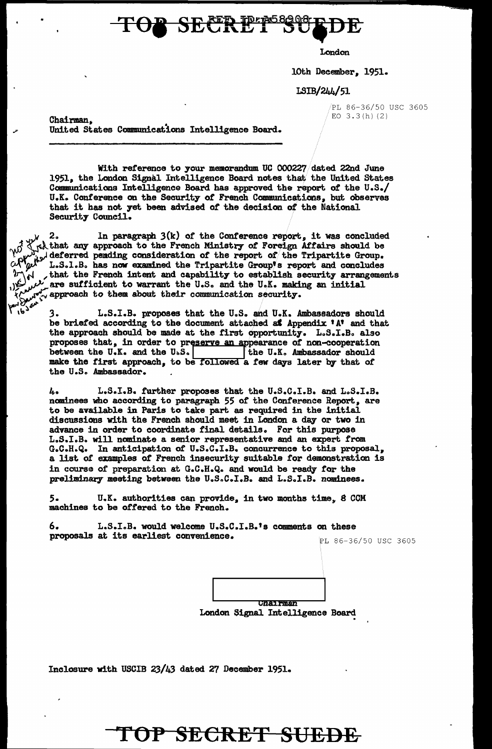TOP SECRET BUSHEDE

London

10th December. 1951.

LSIB/244/51

PL 86-36/50 USC 3605 EO  $3.3(h)$  (2)

Chairman. • United States Communications Intelligence Board.

With reference to your memorandum UC 000227/dated 22nd June 1951. the London Signal Intelligence Board notes that the United states Communications Intelligence Board has approved the report *ot* the U.S./ U.K. Conference on the Security of French Communications. but observes that it b.as not yet been advised of the decision *ot* the National Security Council.

 $\mu$ , 2.. In paragraph 3(k) of the Conference report, it was concluded  $\int \chi$ <sub>r</sub>that any approach to the French Ministry of Foreign Affairs should be  $\mathcal{W}_{\mathbf{a},\mathbf{b}}$  deferred pending consideration of the report of the Tripartite Group.  $\begin{bmatrix} 0 & 0 \\ 0 & 1 \end{bmatrix}$  ( $\begin{bmatrix} 0 & 0 \\ 0 & 0 \end{bmatrix}$ ) deferred pending consideration of the report of the Tripartite Group.<br>  $\begin{bmatrix} 0 & 0 \\ 0 & 0 \end{bmatrix}$  ( $\begin{bmatrix} 0 & 0 \\ 0 & 0 \end{bmatrix}$ ) and the French intent and capability to es The state of French intent and capability to establish security- arrangements are sufficient to warrant the U.S. and the U.K. making an initial ( $\frac{1}{2}$ ). The sufficient to them about their communication security.

> 3. L.S.I.B. proposes that the U.S. and U.K. Ambassadors should be briefed according to the document attached as Appendix 'A' and that the approach should be made at the first opportunity. L.S.I.B. also proposes that, in order to preserve an appearance of non-cooperation between the U. the approach should be made at the first opportunity. L.S.I.B. also proposes that, in order to preserve an appearance of non-cooperation between the U.K. and the U.S.  $\vert$  the U.K. Ambassador should make the first approach, to be followed a few days later by that of the U.S. Ambassador.

4. L.S.I.B. further proposes that the U.S.C.I.B. and L.S.I.B. nominees who according to paragraph 55 of the Conference Report, are to be available in Paris to take part as required in the initial discussions with the French should meet in London a day or two in advance in order to coordinate f'inal details. For this purpose L .. S.I.B. will nominate a senior representative and an expert from G.C.H.Q. In anticipation *ot* u.s.c.I.B. concurrence to this proposal. a list of examples of French insecurity suitable tor demonstration is in course of preparation at G.C.H.Q. and would be ready for the preliminary meeting between the U.S.C.I.B. and L.S.I.B. nominees.

5. U.K. authorities can provide, in two months time, 8 CCM machines to be offered to the French.

6. L.S.IoB. would welcome u.s.C.I.B.'s comments on these proposals at its earliest convenience. PL 86-36/50 USC 3605



London Signal Intelligence Board

Inclosure with USCIB 23/43 dated 27 December 1951.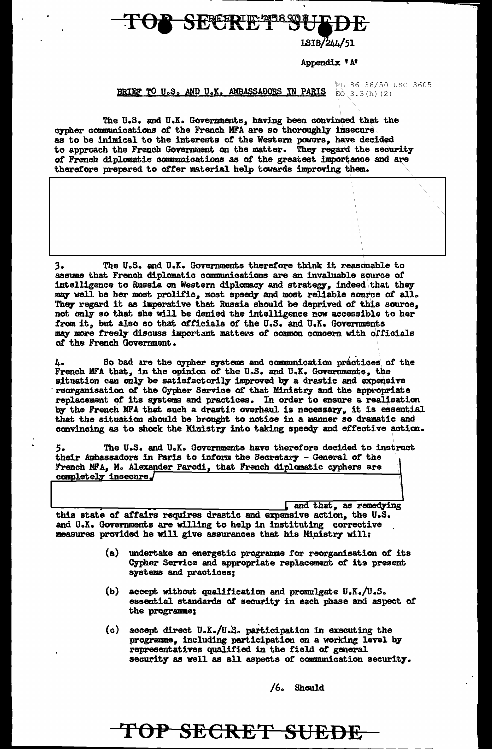### **SEPERIE TESTER**

### ISIB/244/51

#### Appendix 'A'

BRIEF TO U.S. AND U.K. AMBASSADORS IN PARIS EN 3.3(h)(2)

PL 86-36/50 USC 3605

The U.S. and U.K. Governments, having been convinced that the cypher communications of the French MFA are so thoroughly insecure as to be inimical to the interests of the Western powers, have decided to approach the French Government on the matter. They regard the security of French diplomatic communications as of the greatest importance and are therefore prepared to offer material help towards improving them.

 $3.$ The U.S. and U.K. Governments therefore think it reasonable to assume that French diplomatic communications are an invaluable source of intelligence to Russia on Western diplomacy and strategy, indeed that they may well be her most prolific, most speedy and most reliable source of all. They regard it as imperative that Russia should be deprived of this source, not only so that she will be denied the intelligence now accessible to her from it, but also so that officials of the U.S. and U.K. Governments may more freely discuss important matters of common concern with officials of the French Government.

So bad are the cypher systems and communication practices of the ь. French MFA that, in the opinion of the U.S. and U.K. Governments, the situation can only be satisfactorily improved by a drastic and expensive reorganisation of the Cypher Service of that Ministry and the appropriate replacement of its systems and practices. In order to ensure a realisation by the French MFA that such a drastic overhaul is necessary, it is essential that the situation should be brought to notice in a manner so dramatic and convincing as to shock the Ministry into taking speedy and effective action.

The U.S. and U.K. Governments have therefore decided to instruct their Ambassadors in Paris to inform the Secretary - General of the French MFA, M. Alexander Parodi, that French diplomatic cyphers are completely insecure  $\int$ 

and that, as remedying this state of affairs requires drastic and expensive action, the U.S. and U.K. Governments are willing to help in instituting corrective measures provided he will give assurances that his Ministry will:

- undertake an energetic programme for reorganisation of its  $(a)$ Cypher Service and appropriate replacement of its present systems and practices:
- (b) accept without qualification and promulgate  $U_aK_a/U_aS_a$ essential standards of security in each phase and aspect of the programme:
- (c) accept direct  $U_sK_s/U_sS_s$  participation in executing the programme, including participation on a working level by representatives qualified in the field of general security as well as all aspects of communication security.

 $/6.$  Should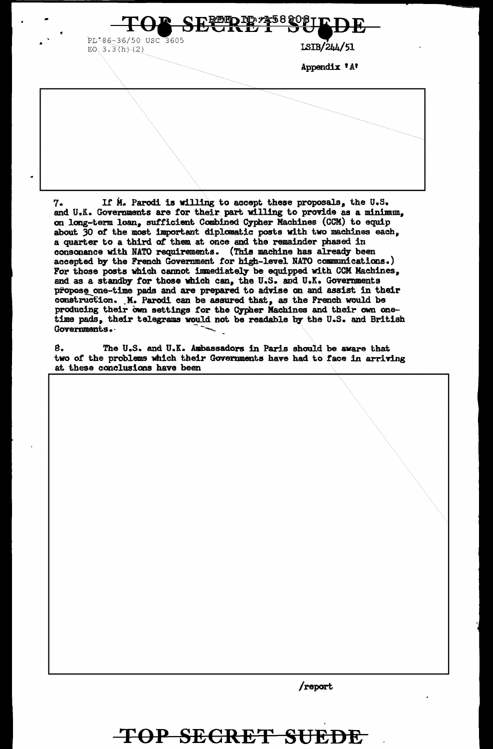TD:24588

RL-86-36/50 USC 3605 EO  $3.3(h)/(2)$ 

ISIB/244/51

Appendix 'A'

If M. Parodi is willing to accept these proposals, the U.S. 7. and U.K. Governments are for their part willing to provide as a minimum. on long-term loan, sufficient Combined Cypher Machines (CCM) to equip about 30 of the most important diplomatic posts with two machines each, a quarter to a third of them at once and the remainder phased in consonance with NATO requirements. (This machine has already been accepted by the French Government for high-level NATO communications.) For those posts which cannot immediately be equipped with CCM Machines, and as a standby for those which can, the U.S. and U.K. Governments propose one-time pads and are prepared to advise on and assist in their construction. M. Parodi can be assured that, as the French would be producing their own settings for the Cypher Machines and their own onetime pads, their telegrams would not be readable by the U.S. and British Governments.

8. The U.S. and U.K. Ambassadors in Paris should be aware that two of the problems which their Governments have had to face in arriving at these conclusions have been

/report